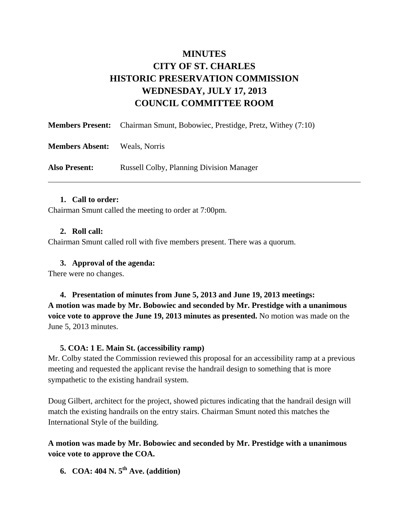# **MINUTES CITY OF ST. CHARLES HISTORIC PRESERVATION COMMISSION WEDNESDAY, JULY 17, 2013 COUNCIL COMMITTEE ROOM**

|                        | <b>Members Present:</b> Chairman Smunt, Bobowiec, Prestidge, Pretz, Withey (7:10) |
|------------------------|-----------------------------------------------------------------------------------|
| <b>Members Absent:</b> | Weals, Norris                                                                     |
| <b>Also Present:</b>   | <b>Russell Colby, Planning Division Manager</b>                                   |

#### **1. Call to order:**

Chairman Smunt called the meeting to order at 7:00pm.

#### **2. Roll call:**

Chairman Smunt called roll with five members present. There was a quorum.

#### **3. Approval of the agenda:**

There were no changes.

**4. Presentation of minutes from June 5, 2013 and June 19, 2013 meetings: A motion was made by Mr. Bobowiec and seconded by Mr. Prestidge with a unanimous voice vote to approve the June 19, 2013 minutes as presented.** No motion was made on the June 5, 2013 minutes.

#### **5. COA: 1 E. Main St. (accessibility ramp)**

Mr. Colby stated the Commission reviewed this proposal for an accessibility ramp at a previous meeting and requested the applicant revise the handrail design to something that is more sympathetic to the existing handrail system.

Doug Gilbert, architect for the project, showed pictures indicating that the handrail design will match the existing handrails on the entry stairs. Chairman Smunt noted this matches the International Style of the building.

**A motion was made by Mr. Bobowiec and seconded by Mr. Prestidge with a unanimous voice vote to approve the COA.**

**6. COA: 404 N. 5th Ave. (addition)**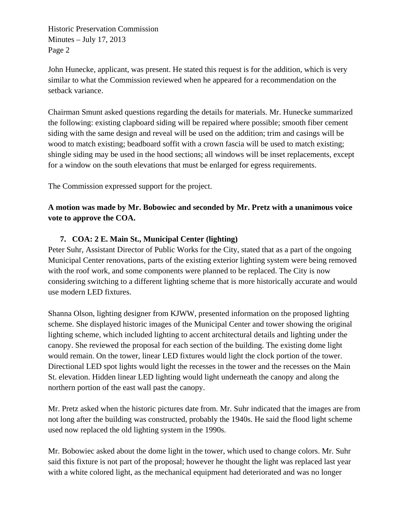Historic Preservation Commission Minutes – July 17, 2013 Page 2

John Hunecke, applicant, was present. He stated this request is for the addition, which is very similar to what the Commission reviewed when he appeared for a recommendation on the setback variance.

Chairman Smunt asked questions regarding the details for materials. Mr. Hunecke summarized the following: existing clapboard siding will be repaired where possible; smooth fiber cement siding with the same design and reveal will be used on the addition; trim and casings will be wood to match existing; beadboard soffit with a crown fascia will be used to match existing; shingle siding may be used in the hood sections; all windows will be inset replacements, except for a window on the south elevations that must be enlarged for egress requirements.

The Commission expressed support for the project.

### **A motion was made by Mr. Bobowiec and seconded by Mr. Pretz with a unanimous voice vote to approve the COA.**

### **7. COA: 2 E. Main St., Municipal Center (lighting)**

Peter Suhr, Assistant Director of Public Works for the City, stated that as a part of the ongoing Municipal Center renovations, parts of the existing exterior lighting system were being removed with the roof work, and some components were planned to be replaced. The City is now considering switching to a different lighting scheme that is more historically accurate and would use modern LED fixtures.

Shanna Olson, lighting designer from KJWW, presented information on the proposed lighting scheme. She displayed historic images of the Municipal Center and tower showing the original lighting scheme, which included lighting to accent architectural details and lighting under the canopy. She reviewed the proposal for each section of the building. The existing dome light would remain. On the tower, linear LED fixtures would light the clock portion of the tower. Directional LED spot lights would light the recesses in the tower and the recesses on the Main St. elevation. Hidden linear LED lighting would light underneath the canopy and along the northern portion of the east wall past the canopy.

Mr. Pretz asked when the historic pictures date from. Mr. Suhr indicated that the images are from not long after the building was constructed, probably the 1940s. He said the flood light scheme used now replaced the old lighting system in the 1990s.

Mr. Bobowiec asked about the dome light in the tower, which used to change colors. Mr. Suhr said this fixture is not part of the proposal; however he thought the light was replaced last year with a white colored light, as the mechanical equipment had deteriorated and was no longer